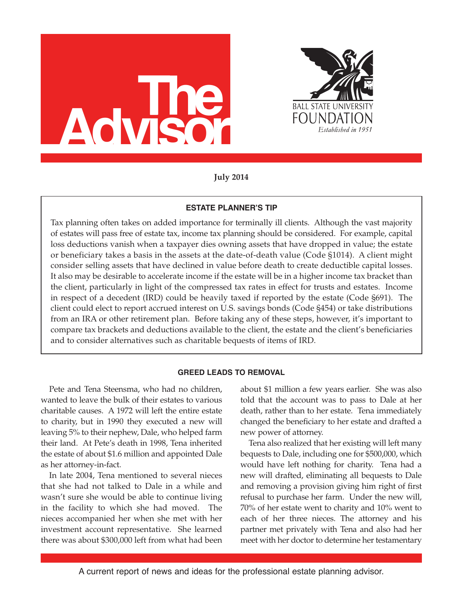



**July 2014**

## **ESTATE PLANNER'S TIP**

Tax planning often takes on added importance for terminally ill clients. Although the vast majority of estates will pass free of estate tax, income tax planning should be considered. For example, capital loss deductions vanish when a taxpayer dies owning assets that have dropped in value; the estate or beneficiary takes a basis in the assets at the date-of-death value (Code §1014). A client might consider selling assets that have declined in value before death to create deductible capital losses. It also may be desirable to accelerate income if the estate will be in a higher income tax bracket than the client, particularly in light of the compressed tax rates in effect for trusts and estates. Income in respect of a decedent (IRD) could be heavily taxed if reported by the estate (Code §691). The client could elect to report accrued interest on U.S. savings bonds (Code §454) or take distributions from an IRA or other retirement plan. Before taking any of these steps, however, it's important to compare tax brackets and deductions available to the client, the estate and the client's beneficiaries and to consider alternatives such as charitable bequests of items of IRD.

## **GREED LEADS TO REMOVAL**

Pete and Tena Steensma, who had no children, wanted to leave the bulk of their estates to various charitable causes. A 1972 will left the entire estate to charity, but in 1990 they executed a new will leaving 5% to their nephew, Dale, who helped farm their land. At Pete's death in 1998, Tena inherited the estate of about \$1.6 million and appointed Dale as her attorney-in-fact.

In late 2004, Tena mentioned to several nieces that she had not talked to Dale in a while and wasn't sure she would be able to continue living in the facility to which she had moved. The nieces accompanied her when she met with her investment account representative. She learned there was about \$300,000 left from what had been

about \$1 million a few years earlier. She was also told that the account was to pass to Dale at her death, rather than to her estate. Tena immediately changed the beneficiary to her estate and drafted a new power of attorney.

Tena also realized that her existing will left many bequests to Dale, including one for \$500,000, which would have left nothing for charity. Tena had a new will drafted, eliminating all bequests to Dale and removing a provision giving him right of first refusal to purchase her farm. Under the new will, 70% of her estate went to charity and 10% went to each of her three nieces. The attorney and his partner met privately with Tena and also had her meet with her doctor to determine her testamentary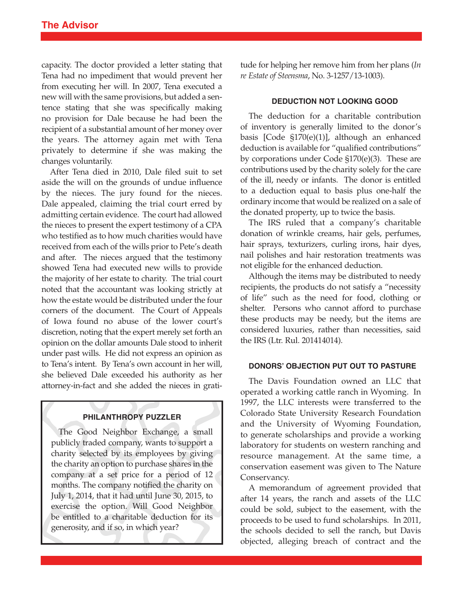capacity. The doctor provided a letter stating that Tena had no impediment that would prevent her from executing her will. In 2007, Tena executed a new will with the same provisions, but added a sentence stating that she was specifically making no provision for Dale because he had been the recipient of a substantial amount of her money over the years. The attorney again met with Tena privately to determine if she was making the changes voluntarily.

After Tena died in 2010, Dale filed suit to set aside the will on the grounds of undue influence by the nieces. The jury found for the nieces. Dale appealed, claiming the trial court erred by admitting certain evidence. The court had allowed the nieces to present the expert testimony of a CPA who testified as to how much charities would have received from each of the wills prior to Pete's death and after. The nieces argued that the testimony showed Tena had executed new wills to provide the majority of her estate to charity. The trial court noted that the accountant was looking strictly at how the estate would be distributed under the four corners of the document. The Court of Appeals of Iowa found no abuse of the lower court's discretion, noting that the expert merely set forth an opinion on the dollar amounts Dale stood to inherit under past wills. He did not express an opinion as to Tena's intent. By Tena's own account in her will, she believed Dale exceeded his authority as her attorney-in-fact and she added the nieces in grati-

## **PHILANTHROPY PUZZLER**

The Good Neighbor Exchange, a small publicly traded company, wants to support a charity selected by its employees by giving the charity an option to purchase shares in the company at a set price for a period of 12 months. The company notified the charity on July 1, 2014, that it had until June 30, 2015, to exercise the option. Will Good Neighbor be entitled to a charitable deduction for its generosity, and if so, in which year?

tude for helping her remove him from her plans (*In re Estate of Steensma*, No. 3-1257/13-1003).

#### **DEDUCTION NOT LOOKING GOOD**

The deduction for a charitable contribution of inventory is generally limited to the donor's basis [Code §170(e)(1)], although an enhanced deduction is available for "qualified contributions" by corporations under Code §170(e)(3). These are contributions used by the charity solely for the care of the ill, needy or infants. The donor is entitled to a deduction equal to basis plus one-half the ordinary income that would be realized on a sale of the donated property, up to twice the basis.

The IRS ruled that a company's charitable donation of wrinkle creams, hair gels, perfumes, hair sprays, texturizers, curling irons, hair dyes, nail polishes and hair restoration treatments was not eligible for the enhanced deduction.

Although the items may be distributed to needy recipients, the products do not satisfy a "necessity of life" such as the need for food, clothing or shelter. Persons who cannot afford to purchase these products may be needy, but the items are considered luxuries, rather than necessities, said the IRS (Ltr. Rul. 201414014).

### **DONORS' OBJECTION PUT OUT TO PASTURE**

The Davis Foundation owned an LLC that operated a working cattle ranch in Wyoming. In 1997, the LLC interests were transferred to the Colorado State University Research Foundation and the University of Wyoming Foundation, to generate scholarships and provide a working laboratory for students on western ranching and resource management. At the same time, a conservation easement was given to The Nature Conservancy.

A memorandum of agreement provided that after 14 years, the ranch and assets of the LLC could be sold, subject to the easement, with the proceeds to be used to fund scholarships. In 2011, the schools decided to sell the ranch, but Davis objected, alleging breach of contract and the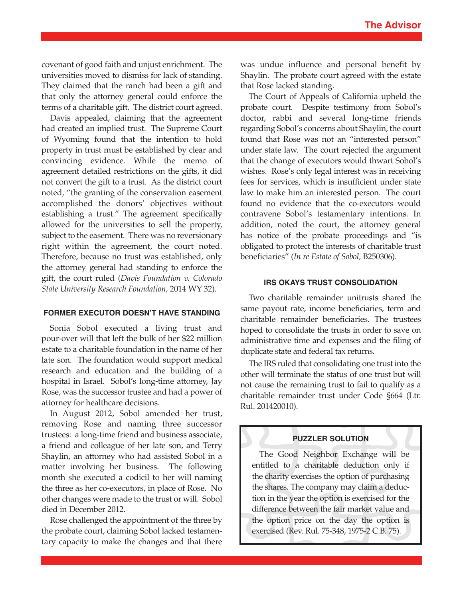covenant of good faith and unjust enrichment. The universities moved to dismiss for lack of standing. They claimed that the ranch had been a gift and that only the attorney general could enforce the terms of a charitable gift. The district court agreed.

Davis appealed, claiming that the agreement had created an implied trust. The Supreme Court of Wyoming found that the intention to hold property in trust must be established by clear and convincing evidence. While the memo of agreement detailed restrictions on the gifts, it did not convert the gift to a trust. As the district court noted, "the granting of the conservation easement accomplished the donors' objectives without establishing a trust." The agreement specifically allowed for the universities to sell the property, subject to the easement. There was no reversionary right within the agreement, the court noted. Therefore, because no trust was established, only the attorney general had standing to enforce the gift, the court ruled (*Davis Foundation v. Colorado State University Research Foundation,* 2014 WY 32).

### **FORMER EXECUTOR DOESN'T HAVE STANDING**

Sonia Sobol executed a living trust and pour-over will that left the bulk of her \$22 million estate to a charitable foundation in the name of her late son. The foundation would support medical research and education and the building of a hospital in Israel. Sobol's long-time attorney, Jay Rose, was the successor trustee and had a power of attorney for healthcare decisions.

In August 2012, Sobol amended her trust, removing Rose and naming three successor trustees: a long-time friend and business associate, a friend and colleague of her late son, and Terry Shaylin, an attorney who had assisted Sobol in a matter involving her business. The following month she executed a codicil to her will naming the three as her co-executors, in place of Rose. No other changes were made to the trust or will. Sobol died in December 2012.

Rose challenged the appointment of the three by the probate court, claiming Sobol lacked testamentary capacity to make the changes and that there

was undue influence and personal benefit by Shaylin. The probate court agreed with the estate that Rose lacked standing.

The Court of Appeals of California upheld the probate court. Despite testimony from Sobol's doctor, rabbi and several long-time friends regarding Sobol's concerns about Shaylin, the court found that Rose was not an "interested person" under state law. The court rejected the argument that the change of executors would thwart Sobol's wishes. Rose's only legal interest was in receiving fees for services, which is insufficient under state law to make him an interested person. The court found no evidence that the co-executors would contravene Sobol's testamentary intentions. In addition, noted the court, the attorney general has notice of the probate proceedings and "is obligated to protect the interests of charitable trust beneficiaries" (*In re Estate of Sobol,* B250306).

## **IRS OKAYS TRUST CONSOLIDATION**

Two charitable remainder unitrusts shared the same payout rate, income beneficiaries, term and charitable remainder beneficiaries. The trustees hoped to consolidate the trusts in order to save on administrative time and expenses and the filing of duplicate state and federal tax returns.

The IRS ruled that consolidating one trust into the other will terminate the status of one trust but will not cause the remaining trust to fail to qualify as a charitable remainder trust under Code §664 (Ltr. Rul. 201420010).

# **PUZZLER SOLUTION**

The Good Neighbor Exchange will be entitled to a charitable deduction only if the charity exercises the option of purchasing the shares. The company may claim a deduction in the year the option is exercised for the difference between the fair market value and the option price on the day the option is exercised (Rev. Rul. 75-348, 1975-2 C.B. 75).